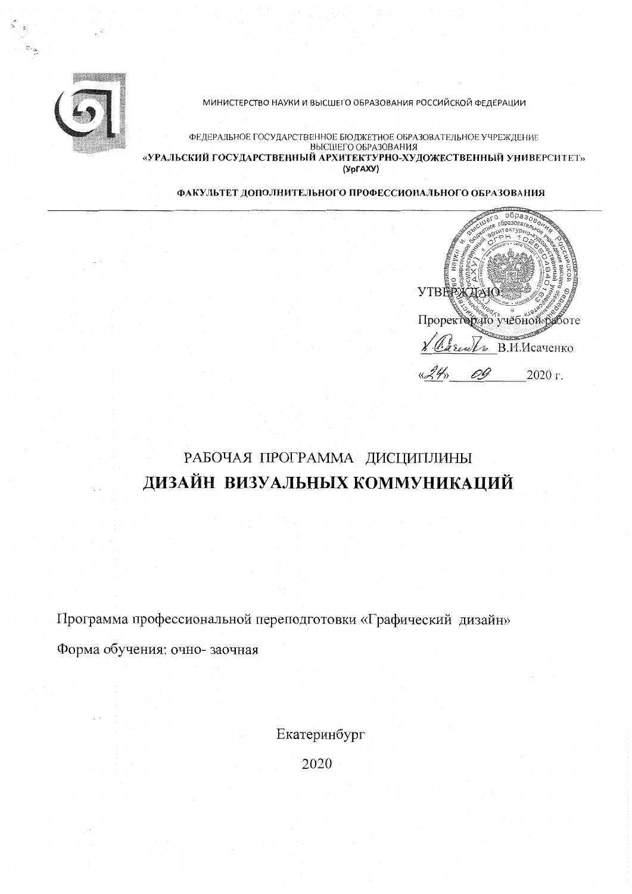

МИНИСТЕРСТВО НАУКИ И ВЫСШЕГО ОБРАЗОВАНИЯ РОССИЙСКОЙ ФЕДЕРАЦИИ

ФЕДЕРАЛЬНОЕ ГОСУДАРСТВЕННОЕ БЮДЖЕТНОЕ ОБРАЗОВАТЕЛЬНОЕ УЧРЕЖДЕНИЕ ВЫСШЕГО ОБРАЗОВАНИЯ «УРАЛЬСКИЙ ГОСУДАРСТВЕННЫЙ АРХИТЕКТУРНО-ХУДОЖЕСТВЕННЫЙ УНИВЕРСИТЕТ» (YpFAXY)

ФАКУЛЬТЕТ ДОПОЛНИТЕЛЬНОГО ПРОФЕССИОНАЛЬНОГО ОБРАЗОВАНИЯ



# РАБОЧАЯ ПРОГРАММА ДИСЦИПЛИНЫ ДИЗАЙН ВИЗУАЛЬНЫХ КОММУНИКАЦИЙ

Программа профессиональной переподготовки «Графический дизайн» Форма обучения: очно-заочная

Екатеринбург

2020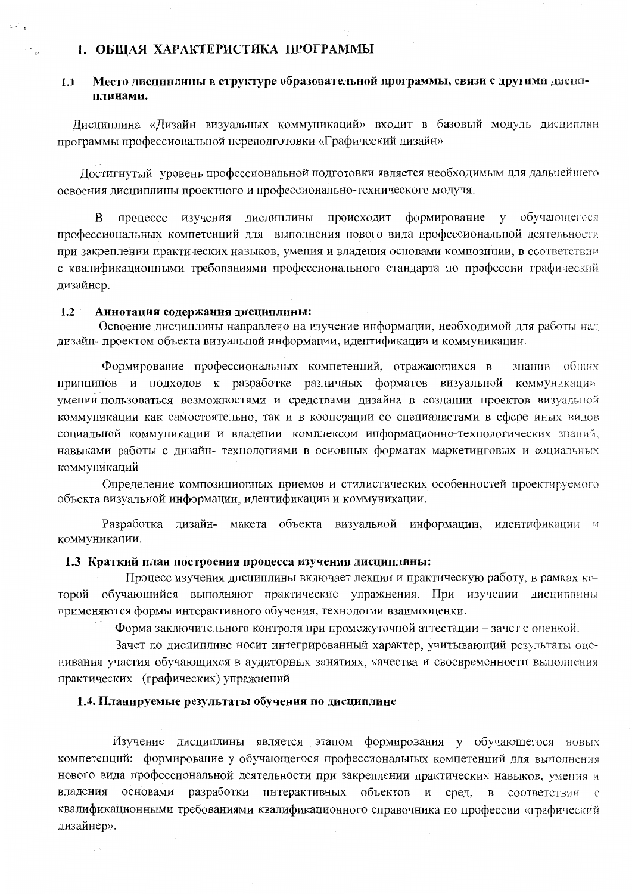### 1. ОБЩАЯ ХАРАКТЕРИСТИКА ПРОГРАММЫ

#### Место лиспинлины в структуре образовательной программы, связи с другими дисци- $1.1$ плинами.

Дисциплина «Дизайн визуальных коммуникаций» входит в базовый модуль дисциплин программы профессиональной переподготовки «Графический дизайн»

Достигнутый уровень профессиональной подготовки является необходимым для дальнейшего освоения дисциплины проектного и профессионально-технического модуля.

процессе изучения дисциплины происходит формирование у обучающегося B профессиональных компетенций для выполнения нового вида профессиональной деятельности при закреплении практических навыков, умения и владения основами композиции, в соответствии с квалификационными требованиями профессионального стандарта по профессии графический дизайнер.

#### $1.2$ Аннотация содержания дисциплины:

Освоение дисциплины направлено на изучение информации, необходимой для работы над дизайн-проектом объекта визуальной информации, идентификации и коммуникации.

Формирование профессиональных компетенций, отражающихся в знании общих принципов и подходов к разработке различных форматов визуальной коммуникации, умении пользоваться возможностями и средствами дизайна в создании проектов визуальной коммуникации как самостоятельно, так и в кооперации со специалистами в сфере иных видов социальной коммуникации и владении комплексом информационно-технологических знаний, навыками работы с дизайн- технологиями в основных форматах маркетинговых и социальных коммуникаций

Определение композиционных приемов и стилистических особенностей проектируемого объекта визуальной информации, идентификации и коммуникации.

Разработка дизайн- макета объекта визуальной информации, идентификации и коммуникации.

#### 1.3 Краткий план построения процесса изучения дисциплины:

Процесс изучения дисциплины включает лекции и практическую работу, в рамках которой обучающийся выполняют практические упражнения. При изучении дисциплины применяются формы интерактивного обучения, технологии взаимооценки.

Форма заключительного контроля при промежуточной аттестации - зачет с оценкой.

Зачет по дисциплине носит интегрированный характер, учитывающий результаты оценивания участия обучающихся в аудиторных занятиях, качества и своевременности выполнения практических (графических) упражнений

#### 1.4. Планируемые результаты обучения по дисциплине

Изучение дисциплины является этапом формирования у обучающегося новых компетенций: формирование у обучающегося профессиональных компетенций для выполнения нового вида профессиональной деятельности при закреплении практических навыков, умения и владения основами разработки интерактивных объектов и сред, в соответствии с квалификационными требованиями квалификационного справочника по профессии «графический дизайнер».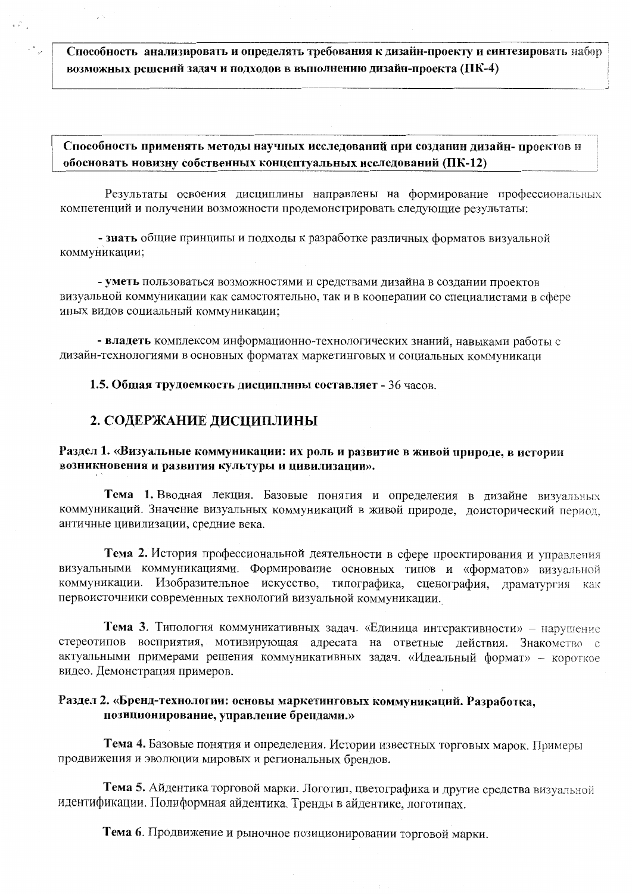Способность анализировать и определять требования к дизайн-проекту и синтезировать набор возможных решений задач и подходов в выполнению дизайн-проекта (ПК-4)

# Способность применять методы научных исследований при создании дизайн- проектов и обосновать новизну собственных концептуальных исследований (ПК-12)

Результаты освоения дисциплины направлены на формирование профессиональных компетенций и получении возможности продемонстрировать следующие результаты:

- знать общие принципы и подходы к разработке различных форматов визуальной коммуникации;

- уметь пользоваться возможностями и средствами дизайна в создании проектов визуальной коммуникации как самостоятельно, так и в кооперации со специалистами в сфере иных видов социальный коммуникации;

- владеть комплексом информационно-технологических знаний, навыками работы с дизайн-технологиями в основных форматах маркетинговых и социальных коммуникаци

1.5. Общая трудоемкость дисциплины составляет - 36 часов.

# 2. СОДЕРЖАНИЕ ДИСЦИПЛИНЫ

## Раздел 1. «Визуальные коммуникации: их роль и развитие в живой природе, в истории возникновения и развития культуры и цивилизации».

Тема 1. Вводная лекция. Базовые понятия и определения в дизайне визуальных коммуникаций. Значение визуальных коммуникаций в живой природе, доисторический период, античные цивилизации, средние века.

Тема 2. История профессиональной деятельности в сфере проектирования и управления визуальными коммуникациями. Формирование основных типов и «форматов» визуальной коммуникации. Изобразительное искусство, типографика, сценография, драматургия как первоисточники современных технологий визуальной коммуникации.

Тема 3. Типология коммуникативных задач. «Единица интерактивности» - нарушение стереотипов восприятия, мотивирующая адресата на ответные действия. Знакомство с актуальными примерами решения коммуникативных задач. «Идеальный формат» - короткое видео. Демонстрация примеров.

# Раздел 2. «Бренд-технологии: основы маркетинговых коммуникаций. Разработка, позиционирование, управление брендами.»

Тема 4. Базовые понятия и определения. Истории известных торговых марок. Примеры продвижения и эволюции мировых и региональных брендов.

Тема 5. Айдентика торговой марки. Логотип, цветографика и другие средства визуальной идентификации. Полиформная айдентика. Тренды в айдентике, логотипах.

Тема 6. Продвижение и рыночное позиционировании торговой марки.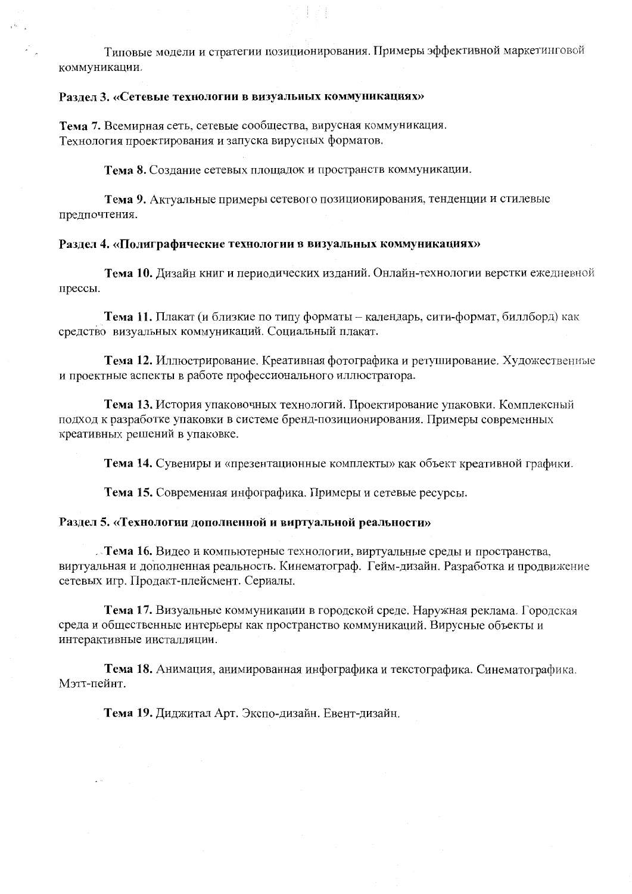Типовые модели и стратегии позиционирования. Примеры эффективной маркетинговой коммуникации.

# Раздел 3. «Сетевые технологии в визуальных коммуникациях»

Тема 7. Всемирная сеть, сетевые сообщества, вирусная коммуникация. Технология проектирования и запуска вирусных форматов.

Тема 8. Создание сетевых площадок и пространств коммуникации.

Тема 9. Актуальные примеры сетевого позиционирования, тенденции и стилевые предпочтения.

#### Раздел 4. «Полиграфические технологии в визуальных коммуникациях»

Тема 10. Дизайн книг и периодических изданий. Онлайн-технологии верстки ежедневной прессы.

Тема 11. Плакат (и близкие по типу форматы - календарь, сити-формат, биллборд) как средство визуальных коммуникаций. Социальный плакат.

Тема 12. Иллюстрирование. Креативная фотографика и ретуширование. Художественные и проектные аспекты в работе профессионального иллюстратора.

Тема 13. История упаковочных технологий. Проектирование упаковки. Комплексный подход к разработке упаковки в системе бренд-позиционирования. Примеры современных креативных решений в упаковке.

Тема 14. Сувениры и «презентационные комплекты» как объект креативной графики.

Тема 15. Современная инфографика. Примеры и сетевые ресурсы.

#### Раздел 5. «Технологии дополненной и виртуальной реальности»

. Тема 16. Видео и компьютерные технологии, виртуальные среды и пространства. виртуальная и дополненная реальность. Кинематограф. Гейм-дизайн. Разработка и продвижение сетевых игр. Продакт-плейсмент. Сериалы.

Тема 17. Визуальные коммуникации в городской среде. Наружная реклама. Городская среда и общественные интерьеры как пространство коммуникаций. Вирусные объекты и интерактивные инсталляции.

Тема 18. Анимация, анимированная инфографика и текстографика. Синематографика. Мэтт-пейнт.

Тема 19. Диджитал Арт. Экспо-дизайн. Евент-дизайн.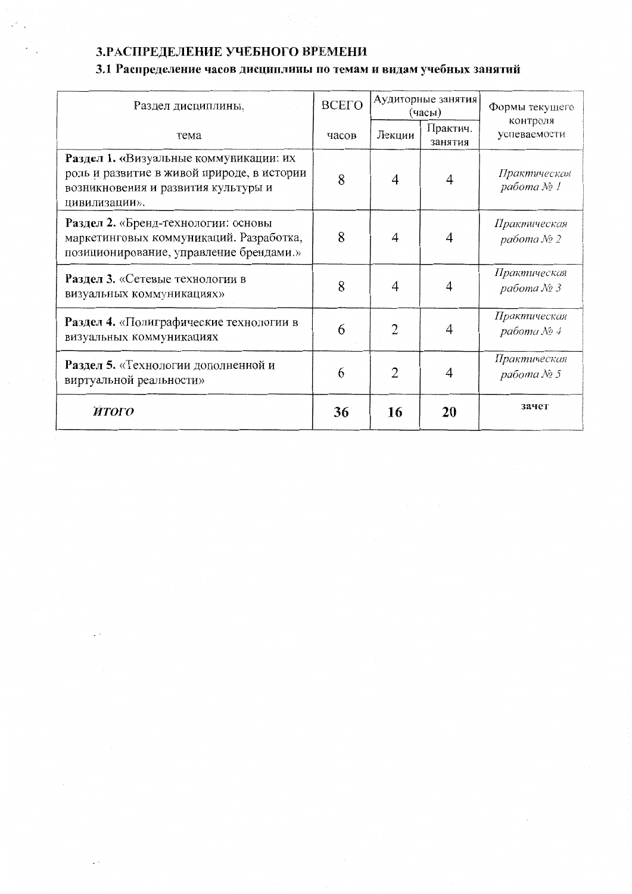# 3. РАСПРЕДЕЛЕНИЕ УЧЕБНОГО ВРЕМЕНИ

# 3.1 Распределение часов дисциплины по темам и видам учебных занятий

| Раздел дисциплины,                                                                                                                           | <b>BCETO</b> | Аудиторные занятия<br>(часы) |                     | Формы текущего                 |
|----------------------------------------------------------------------------------------------------------------------------------------------|--------------|------------------------------|---------------------|--------------------------------|
| тема                                                                                                                                         | часов        | Лекции                       | Практич.<br>занятия | контроля<br>успеваемости       |
| Раздел 1. «Визуальные коммуникации: их<br>роль и развитие в живой природе, в истории<br>возникновения и развития культуры и<br>цивилизации». | 8            | 4                            | 4                   | Практическая<br>работа № 1     |
| Раздел 2. «Бренд-технологии: основы<br>маркетинговых коммуникаций. Разработка,<br>позиционирование, управление брендами.»                    | 8            | 4                            | 4                   | Практическая<br>работа № 2     |
| Раздел 3. «Сетевые технологии в<br>визуальных коммуникациях»                                                                                 | 8            | 4                            |                     | Практическая<br>работа № 3     |
| Раздел 4. «Полиграфические технологии в<br>визуальных коммуникациях                                                                          | 6            | $\overline{2}$               | 4                   | Практическая<br>работа $N_2$ 4 |
| Раздел 5. «Технологии дополненной и<br>виртуальной реальности»                                                                               | 6            | $\overline{2}$               | 4                   | Практическая<br>работа № 5     |
| <b>ATOFO</b>                                                                                                                                 | 36           | 16                           | 20                  | зачет                          |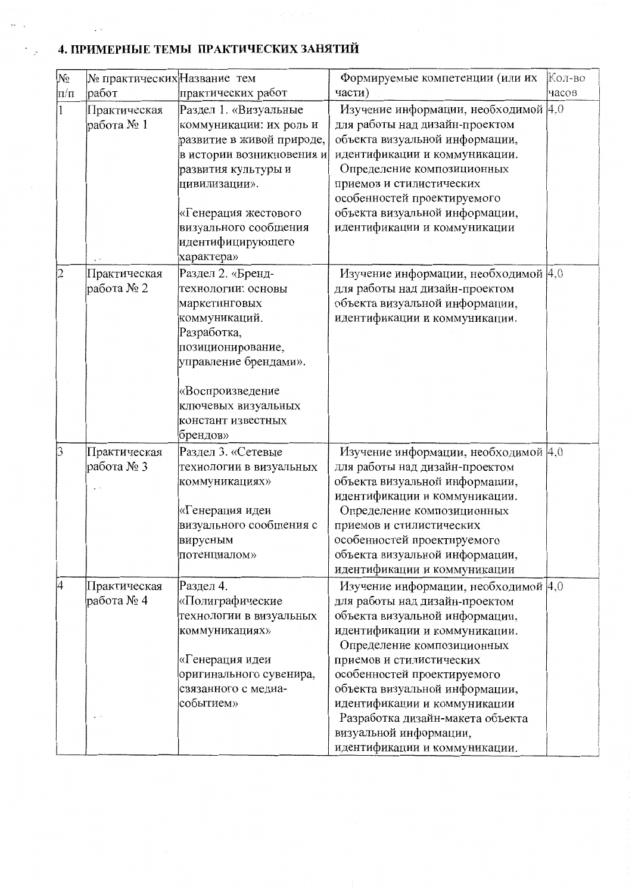# 4. ПРИМЕРНЫЕ ТЕМЫ ПРАКТИЧЕСКИХ ЗАНЯТИЙ

 $\gamma\sim$ 

Υÿ,

 $\sim$   $\sim$ 

| No        | № практических Название тем |                           | Формируемые компетенции (или их                | Кол-во |
|-----------|-----------------------------|---------------------------|------------------------------------------------|--------|
| $\ln/\pi$ | работ                       | практических работ        | части)                                         | часов  |
|           | Практическая                | Раздел 1. «Визуальные     | Изучение информации, необходимой 4,0           |        |
|           | работа № 1                  | коммуникации: их роль и   | для работы над дизайн-проектом                 |        |
|           |                             | развитие в живой природе, | объекта визуальной информации,                 |        |
|           |                             | в истории возникновения и | идентификации и коммуникации.                  |        |
|           |                             | развития культуры и       | Определение композиционных                     |        |
|           |                             | цивилизации».             | приемов и стилистических                       |        |
|           |                             |                           | особенностей проектируемого                    |        |
|           |                             | «Генерация жестового      | объекта визуальной информации,                 |        |
|           |                             | визуального сообщения     | идентификации и коммуникации                   |        |
|           |                             | идентифицирующего         |                                                |        |
|           |                             | характера»                |                                                |        |
| 2         | Практическая                | Раздел 2. «Бренд-         | Изучение информации, необходимой $ 4,0\rangle$ |        |
|           | работа № 2                  | технологии: основы        | для работы над дизайн-проектом                 |        |
|           |                             | маркетинговых             | объекта визуальной информации,                 |        |
|           |                             | коммуникаций.             | идентификации и коммуникации.                  |        |
|           |                             | Разработка,               |                                                |        |
|           |                             | позиционирование,         |                                                |        |
|           |                             | управление брендами».     |                                                |        |
|           |                             |                           |                                                |        |
|           |                             | «Воспроизведение          |                                                |        |
|           |                             | ключевых визуальных       |                                                |        |
|           |                             | констант известных        |                                                |        |
|           |                             | брендов»                  |                                                |        |
| 3         | Практическая                | Раздел 3. «Сетевые        | Изучение информации, необходимой 4,0           |        |
|           | работа № 3                  | технологии в визуальных   | для работы над дизайн-проектом                 |        |
|           |                             | коммуникациях»            | объекта визуальной информации,                 |        |
|           |                             |                           | идентификации и коммуникации.                  |        |
|           |                             | «Генерация идеи           | Определение композиционных                     |        |
|           |                             | визуального сообщения с   | приемов и стилистических                       |        |
|           |                             | вирусным                  | особенностей проектируемого                    |        |
|           |                             | потенциалом»              | объекта визуальной информации,                 |        |
|           |                             |                           | идентификации и коммуникации                   |        |
| 4         | Практическая                | Раздел 4.                 | Изучение информации, необходимой 4,0           |        |
|           | работа № 4                  | «Полиграфические          | для работы над дизайн-проектом                 |        |
|           |                             | технологии в визуальных   | объекта визуальной информации,                 |        |
|           |                             | коммуникациях»            | идентификации и коммуникации.                  |        |
|           |                             |                           | Определение композиционных                     |        |
|           |                             | «Генерация идеи           | приемов и стилистических                       |        |
|           |                             | оригинального сувенира,   | особенностей проектируемого                    |        |
|           |                             | связанного с медиа-       | объекта визуальной информации,                 |        |
|           |                             | событием»                 | идентификации и коммуникации                   |        |
|           |                             |                           | Разработка дизайн-макета объекта               |        |
|           |                             |                           | визуальной информации,                         |        |
|           |                             |                           | идентификации и коммуникации.                  |        |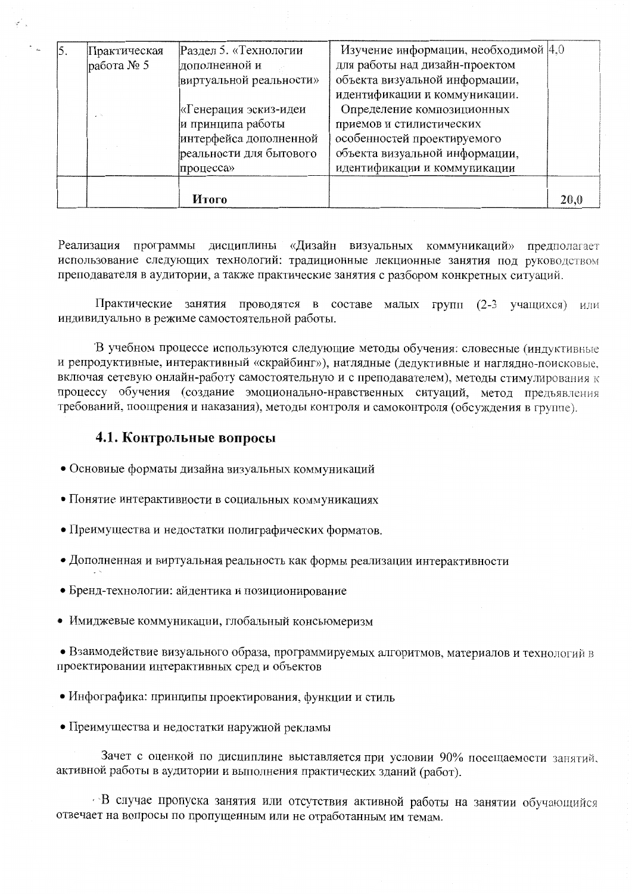|     |                              | Итого                                                                                                                                                    |                                                                                                                                                                                                                                                              | 20,0 |
|-----|------------------------------|----------------------------------------------------------------------------------------------------------------------------------------------------------|--------------------------------------------------------------------------------------------------------------------------------------------------------------------------------------------------------------------------------------------------------------|------|
|     | работа № 5<br>$\sim$ $^{-1}$ | дополненной и<br>виртуальной реальности»<br>«Генерация эскиз-идеи<br>и принципа работы<br>интерфейса дополненной<br>реальности для бытового<br>процесса» | для работы над дизайн-проектом<br>объекта визуальной информации,<br>идентификации и коммуникации.<br>Определение композиционных<br>приемов и стилистических<br>особенностей проектируемого<br>объекта визуальной информации,<br>идентификации и коммуникации |      |
| 15. | Практическая                 | Раздел 5. «Технологии                                                                                                                                    | Изучение информации, необходимой $ 4,0\rangle$                                                                                                                                                                                                               |      |

Реализация программы дисциплины «Дизайн визуальных коммуникаций» предполагает использование следующих технологий: традиционные лекционные занятия под руководством преподавателя в аудитории, а также практические занятия с разбором конкретных ситуаций.

Практические занятия проводятся в составе малых групп (2-3 учащихся) или индивидуально в режиме самостоятельной работы.

В учебном процессе используются следующие методы обучения: словесные (индуктивные и репродуктивные, интерактивный «скрайбинг»), наглядные (дедуктивные и наглядно-поисковые, включая сетевую онлайн-работу самостоятельную и с преподавателем), методы стимулирования к процессу обучения (создание эмоционально-нравственных ситуаций, метод предъявления требований, поощрения и наказания), методы контроля и самоконтроля (обсуждения в группе).

### 4.1. Контрольные вопросы

- Основные форматы дизайна визуальных коммуникаций
- Понятие интерактивности в социальных коммуникациях
- Преимущества и недостатки полиграфических форматов.
- Дополненная и виртуальная реальность как формы реализации интерактивности
- Бренд-технологии: айдентика и позиционирование
- Имиджевые коммуникации, глобальный консьюмеризм

• Взаимодействие визуального образа, программируемых алгоритмов, материалов и технологий в проектировании интерактивных сред и объектов

- Инфографика: принципы проектирования, функции и стиль
- Преимущества и недостатки наружной рекламы

Зачет с оценкой по дисциплине выставляется при условии 90% посещаемости занятий, активной работы в аудитории и выполнения практических зданий (работ).

В случае пропуска занятия или отсутствия активной работы на занятии обучающийся отвечает на вопросы по пропущенным или не отработанным им темам.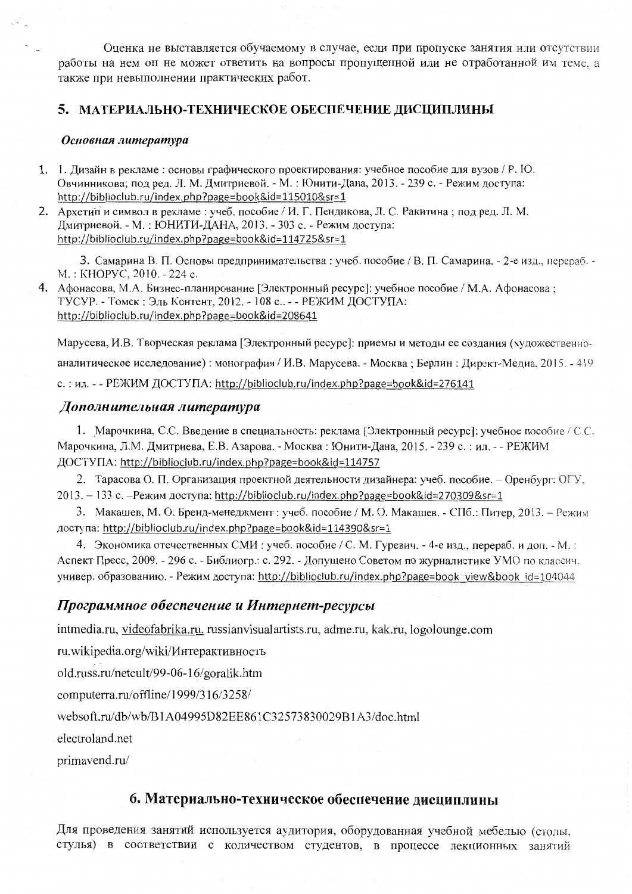Оценка не выставляется обучаемому в случае, если при пропуске занятия или отсутствии работы на нем он не может ответить на вопросы пропущенной или не отработанной им теме, а также при невыполнении практических работ.

# 5. МАТЕРИАЛЬНО-ТЕХНИЧЕСКОЕ ОБЕСПЕЧЕНИЕ ДИСЦИПЛИНЫ

#### Основная литература

- 1. 1. Дизайн в рекламе: основы графического проектирования: учебное пособие для вузов / Р. Ю. Овчинникова; под ред. Л. М. Дмитриевой. - М. : Юнити-Дана, 2013. - 239 с. - Режим доступа: http://biblioclub.ru/index.php?page=book&id=115010&sr=1
- 2. Архетий и символ в рекламе: учеб. пособие / И. Г. Пендикова, Л. С. Ракитина; под ред. Л. М. Дмитриевой. - М.: ЮНИТИ-ДАНА, 2013. - 303 с. - Режим доступа: http://biblioclub.ru/index.php?page=book&id=114725&sr=1

3. Самарина В. П. Основы предпринимательства: учеб. пособие / В. П. Самарина. - 2-е изд., перераб. -M.: KHOPYC, 2010. - 224 c.

4. Афонасова, М.А. Бизнес-планирование [Электронный ресурс]: учебное пособие / М.А. Афонасова; ТУСУР. - Томск: Эль Контент, 2012. - 108 с.. - - РЕЖИМ ДОСТУПА: http://biblioclub.ru/index.php?page=book&id=208641

Марусева, И.В. Творческая реклама [Электронный ресурс]: приемы и методы ее создания (художественноаналитическое исследование): монография / И.В. Марусева. - Москва; Берлин: Директ-Медиа, 2015. - 419 с.: ил. - - РЕЖИМ ДОСТУПА: http://biblioclub.ru/index.php?page=book&id=276141

# Дополнительная литература

1. Марочкина, С.С. Введение в специальность: реклама [Электронный ресурс]: учебное пособие / С.С. Марочкина, Л.М. Дмитриева, Е.В. Азарова. - Москва: Юнити-Дана, 2015. - 239 с.: ил. - - РЕЖИМ ДОСТУПА: http://biblioclub.ru/index.php?page=book&id=114757

2. Тарасова О. П. Организация проектной деятельности дизайнера: учеб. пособие. - Оренбург: ОГУ, 2013. - 133 с. -Режим доступа: http://biblioclub.ru/index.php?page=book&id=270309&sr=1

3. Макашев, М. О. Бренд-менеджмент: учеб. пособие / М. О. Макашев. - СПб.: Питер, 2013. - Режим доступа: http://biblioclub.ru/index.php?page=book&id=114390&sr=1

4. Экономика отечественных СМИ: учеб. пособие / С. М. Гуревич. - 4-е изд., перераб. и доп. - М.: Аспект Пресс, 2009. - 296 с. - Библиогр.: с. 292. - Допущено Советом по журналистике УМО по классич. универ. образованию. - Режим доступа: http://biblioclub.ru/index.php?page=book\_view&book\_id=104044

### Программное обеспечение и Интернет-ресурсы

intmedia.ru, videofabrika.ru, russianvisualartists.ru, adme.ru, kak.ru, logolounge.com

ru.wikipedia.org/wiki/Интерактивность

old.russ.ru/netcult/99-06-16/goralik.htm

computerra.ru/offline/1999/316/3258/

websoft.ru/db/wb/B1A04995D82EE861C32573830029B1A3/doc.html

electroland.net

primavend.ru/

# 6. Материально-техническое обеспечение дисциплины

Для проведения занятий используется аудитория, оборудованная учебной мебелью (столы, стулья) в соответствии с количеством студентов, в процессе лекционных занятий